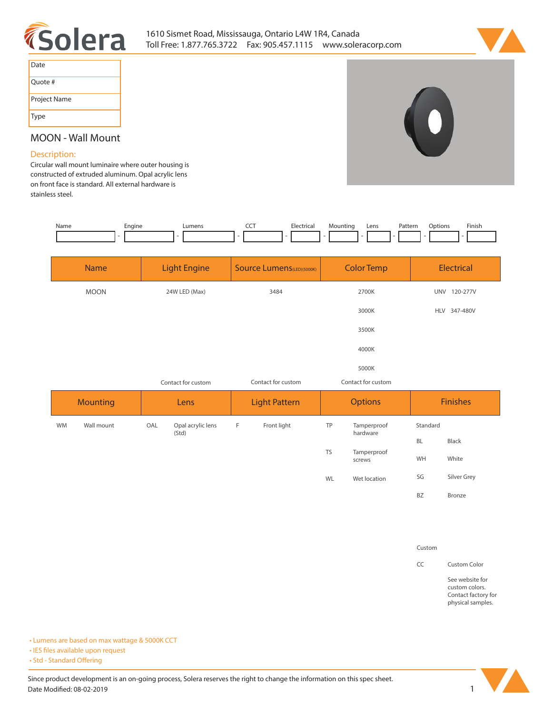



| Date         |
|--------------|
| Ouote #      |
| Project Name |
| Type         |

# **MOON - Wall Mount**

## **Description:**

**Circular wall mount luminaire where outer housing is constructed of extruded aluminum. Opal acrylic lens on front face is standard. All external hardware is stainless steel.** 

|  | Name | Engine | Lumens | ---<br>$-$ | Hectrica. | Mountino | Lens | Patterr.<br>. | ۔tion | Finish |
|--|------|--------|--------|------------|-----------|----------|------|---------------|-------|--------|
|  |      |        |        |            |           |          |      |               |       |        |

|           | <b>Name</b>     |      | <b>Light Engine</b>        |   | <b>Source Lumens</b> (LED)(5000K) |           | <b>Color Temp</b>       |                 | <b>Electrical</b> |  |  |
|-----------|-----------------|------|----------------------------|---|-----------------------------------|-----------|-------------------------|-----------------|-------------------|--|--|
|           | <b>MOON</b>     |      | 24W LED (Max)              |   | 3484                              |           | 2700K                   |                 | UNV 120-277V      |  |  |
|           |                 |      |                            |   |                                   |           | 3000K                   |                 | HLV 347-480V      |  |  |
|           |                 |      |                            |   |                                   |           | 3500K                   |                 |                   |  |  |
|           |                 |      |                            |   |                                   |           | 4000K                   |                 |                   |  |  |
|           |                 |      |                            |   |                                   |           | 5000K                   |                 |                   |  |  |
|           |                 |      | Contact for custom         |   | Contact for custom                |           | Contact for custom      |                 |                   |  |  |
|           | <b>Mounting</b> | Lens |                            |   | <b>Light Pattern</b>              |           | <b>Options</b>          | <b>Finishes</b> |                   |  |  |
| <b>WM</b> | Wall mount      | OAL  | Opal acrylic lens<br>(Std) | F | Front light                       | TP        | Tamperproof<br>hardware | Standard        |                   |  |  |
|           |                 |      |                            |   |                                   |           |                         | <b>BL</b>       | Black             |  |  |
|           |                 |      |                            |   |                                   | <b>TS</b> | Tamperproof<br>screws   | WH              | White             |  |  |
|           |                 |      |                            |   |                                   | <b>WL</b> | Wet location            | SG              | Silver Grey       |  |  |

### **Custom**

**BZ Bronze**

**CC Custom Color**

**See website for custom colors. Contact factory for physical samples.** 

**• Lumens are based on max wattage & 5000K CCT**

**• IES files available upon request** 

• Std - Standard Offering

Since product development is an on-going process, Solera reserves the right to change the information on this spec sheet. **Date Modified: 08-02-2019** 1